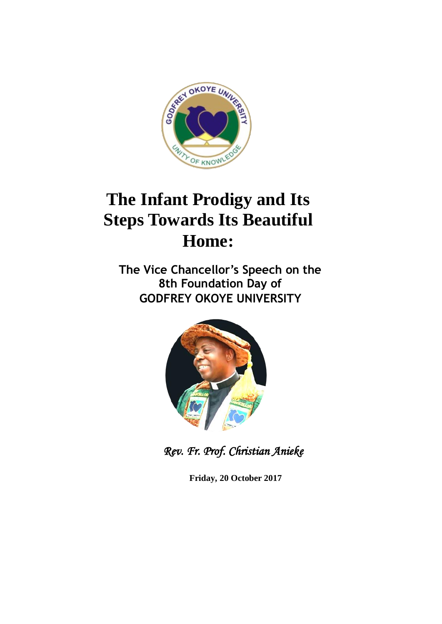

## **The Infant Prodigy and Its Steps Towards Its Beautiful Home:**

**The Vice Chancellor's Speech on the 8th Foundation Day of GODFREY OKOYE UNIVERSITY**



*Rev. Fr. Prof. Christian Anieke* 

**Friday, 20 October 2017**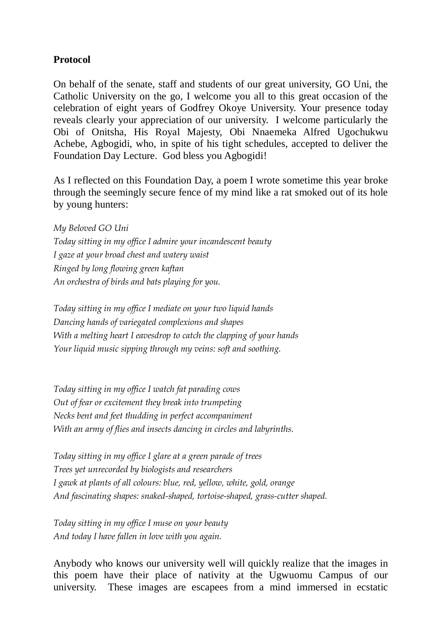## **Protocol**

On behalf of the senate, staff and students of our great university, GO Uni, the Catholic University on the go, I welcome you all to this great occasion of the celebration of eight years of Godfrey Okoye University. Your presence today reveals clearly your appreciation of our university. I welcome particularly the Obi of Onitsha, His Royal Majesty, Obi Nnaemeka Alfred Ugochukwu Achebe, Agbogidi, who, in spite of his tight schedules, accepted to deliver the Foundation Day Lecture. God bless you Agbogidi!

As I reflected on this Foundation Day, a poem I wrote sometime this year broke through the seemingly secure fence of my mind like a rat smoked out of its hole by young hunters:

*My Beloved GO Uni Today sitting in my office I admire your incandescent beauty I gaze at your broad chest and watery waist Ringed by long flowing green kaftan An orchestra of birds and bats playing for you.*

*Today sitting in my office I mediate on your two liquid hands Dancing hands of variegated complexions and shapes With a melting heart I eavesdrop to catch the clapping of your hands Your liquid music sipping through my veins: soft and soothing.*

*Today sitting in my office I watch fat parading cows Out of fear or excitement they break into trumpeting Necks bent and feet thudding in perfect accompaniment With an army of flies and insects dancing in circles and labyrinths.*

*Today sitting in my office I glare at a green parade of trees Trees yet unrecorded by biologists and researchers I gawk at plants of all colours: blue, red, yellow, white, gold, orange And fascinating shapes: snaked-shaped, tortoise-shaped, grass-cutter shaped.*

*Today sitting in my office I muse on your beauty And today I have fallen in love with you again.*

Anybody who knows our university well will quickly realize that the images in this poem have their place of nativity at the Ugwuomu Campus of our university. These images are escapees from a mind immersed in ecstatic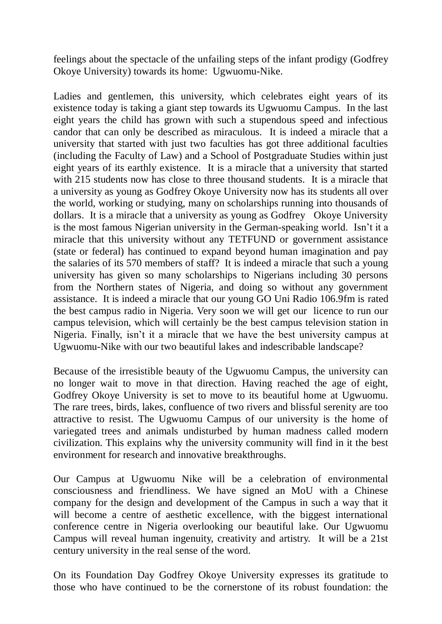feelings about the spectacle of the unfailing steps of the infant prodigy (Godfrey Okoye University) towards its home: Ugwuomu-Nike.

Ladies and gentlemen, this university, which celebrates eight years of its existence today is taking a giant step towards its Ugwuomu Campus. In the last eight years the child has grown with such a stupendous speed and infectious candor that can only be described as miraculous. It is indeed a miracle that a university that started with just two faculties has got three additional faculties (including the Faculty of Law) and a School of Postgraduate Studies within just eight years of its earthly existence. It is a miracle that a university that started with 215 students now has close to three thousand students. It is a miracle that a university as young as Godfrey Okoye University now has its students all over the world, working or studying, many on scholarships running into thousands of dollars. It is a miracle that a university as young as Godfrey Okoye University is the most famous Nigerian university in the German-speaking world. Isn't it a miracle that this university without any TETFUND or government assistance (state or federal) has continued to expand beyond human imagination and pay the salaries of its 570 members of staff? It is indeed a miracle that such a young university has given so many scholarships to Nigerians including 30 persons from the Northern states of Nigeria, and doing so without any government assistance. It is indeed a miracle that our young GO Uni Radio 106.9fm is rated the best campus radio in Nigeria. Very soon we will get our licence to run our campus television, which will certainly be the best campus television station in Nigeria. Finally, isn't it a miracle that we have the best university campus at Ugwuomu-Nike with our two beautiful lakes and indescribable landscape?

Because of the irresistible beauty of the Ugwuomu Campus, the university can no longer wait to move in that direction. Having reached the age of eight, Godfrey Okoye University is set to move to its beautiful home at Ugwuomu. The rare trees, birds, lakes, confluence of two rivers and blissful serenity are too attractive to resist. The Ugwuomu Campus of our university is the home of variegated trees and animals undisturbed by human madness called modern civilization. This explains why the university community will find in it the best environment for research and innovative breakthroughs.

Our Campus at Ugwuomu Nike will be a celebration of environmental consciousness and friendliness. We have signed an MoU with a Chinese company for the design and development of the Campus in such a way that it will become a centre of aesthetic excellence, with the biggest international conference centre in Nigeria overlooking our beautiful lake. Our Ugwuomu Campus will reveal human ingenuity, creativity and artistry. It will be a 21st century university in the real sense of the word.

On its Foundation Day Godfrey Okoye University expresses its gratitude to those who have continued to be the cornerstone of its robust foundation: the